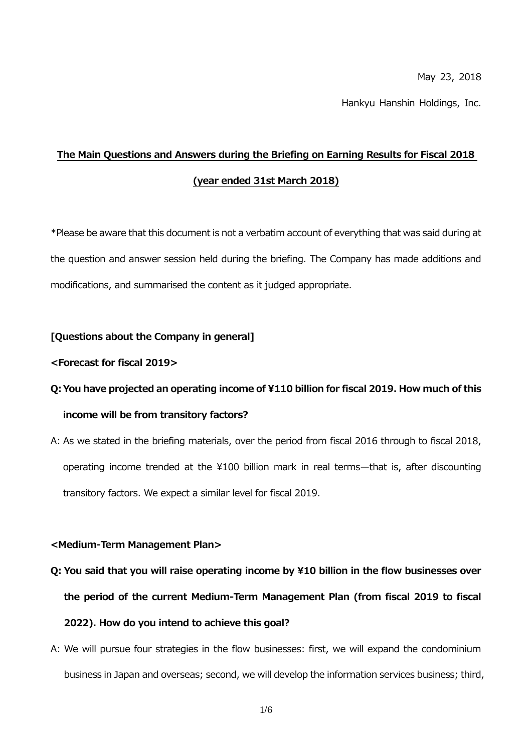May 23, 2018

Hankyu Hanshin Holdings, Inc.

## **The Main Questions and Answers during the Briefing on Earning Results for Fiscal 2018 (year ended 31st March 2018)**

\*Please be aware that this document is not a verbatim account of everything that was said during at the question and answer session held during the briefing. The Company has made additions and modifications, and summarised the content as it judged appropriate.

### **[Questions about the Company in general]**

### **<Forecast for fiscal 2019>**

## **Q:You have projected an operating income of ¥110 billion for fiscal 2019. How much of this income will be from transitory factors?**

A: As we stated in the briefing materials, over the period from fiscal 2016 through to fiscal 2018, operating income trended at the \100 billion mark in real terms—that is, after discounting transitory factors. We expect a similar level for fiscal 2019.

### **<Medium-Term Management Plan>**

- **Q: You said that you will raise operating income by ¥10 billion in the flow businesses over the period of the current Medium-Term Management Plan (from fiscal 2019 to fiscal 2022). How do you intend to achieve this goal?**
- A: We will pursue four strategies in the flow businesses: first, we will expand the condominium business in Japan and overseas; second, we will develop the information services business; third,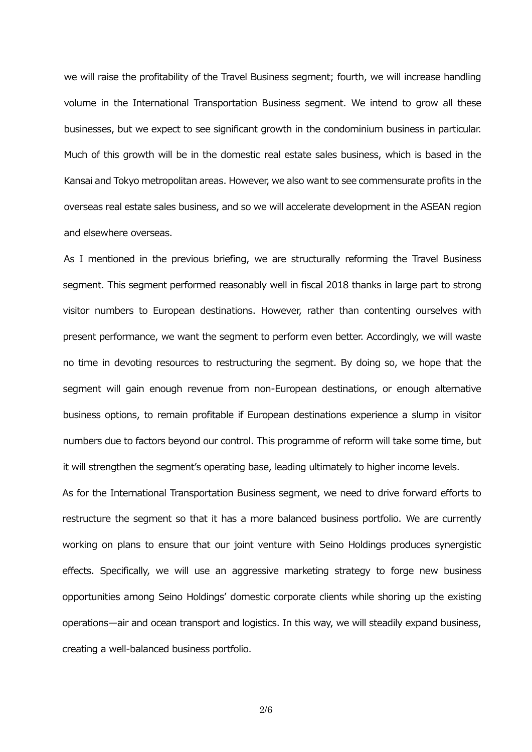we will raise the profitability of the Travel Business segment; fourth, we will increase handling volume in the International Transportation Business segment. We intend to grow all these businesses, but we expect to see significant growth in the condominium business in particular. Much of this growth will be in the domestic real estate sales business, which is based in the Kansai and Tokyo metropolitan areas. However, we also want to see commensurate profits in the overseas real estate sales business, and so we will accelerate development in the ASEAN region and elsewhere overseas.

As I mentioned in the previous briefing, we are structurally reforming the Travel Business segment. This segment performed reasonably well in fiscal 2018 thanks in large part to strong visitor numbers to European destinations. However, rather than contenting ourselves with present performance, we want the segment to perform even better. Accordingly, we will waste no time in devoting resources to restructuring the segment. By doing so, we hope that the segment will gain enough revenue from non-European destinations, or enough alternative business options, to remain profitable if European destinations experience a slump in visitor numbers due to factors beyond our control. This programme of reform will take some time, but it will strengthen the segment's operating base, leading ultimately to higher income levels.

As for the International Transportation Business segment, we need to drive forward efforts to restructure the segment so that it has a more balanced business portfolio. We are currently working on plans to ensure that our joint venture with Seino Holdings produces synergistic effects. Specifically, we will use an aggressive marketing strategy to forge new business opportunities among Seino Holdings' domestic corporate clients while shoring up the existing operations—air and ocean transport and logistics. In this way, we will steadily expand business, creating a well-balanced business portfolio.

2/6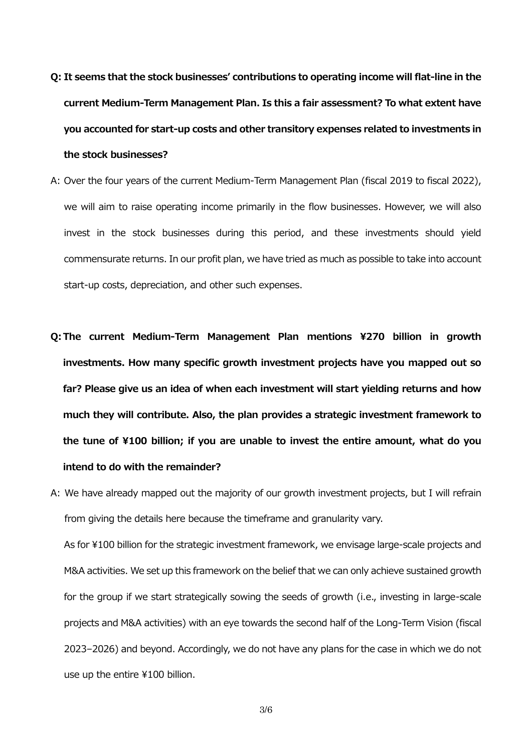- **Q: It seems that the stock businesses' contributions to operating income will flat-line in the current Medium-Term Management Plan. Is this a fair assessment? To what extent have you accounted for start-up costs and other transitory expenses related to investments in the stock businesses?**
- A: Over the four years of the current Medium-Term Management Plan (fiscal 2019 to fiscal 2022), we will aim to raise operating income primarily in the flow businesses. However, we will also invest in the stock businesses during this period, and these investments should yield commensurate returns. In our profit plan, we have tried as much as possible to take into account start-up costs, depreciation, and other such expenses.
- **Q:The current Medium-Term Management Plan mentions ¥270 billion in growth investments. How many specific growth investment projects have you mapped out so far? Please give us an idea of when each investment will start yielding returns and how much they will contribute. Also, the plan provides a strategic investment framework to the tune of ¥100 billion; if you are unable to invest the entire amount, what do you intend to do with the remainder?**
- A: We have already mapped out the majority of our growth investment projects, but I will refrain from giving the details here because the timeframe and granularity vary. As for ¥100 billion for the strategic investment framework, we envisage large-scale projects and M&A activities. We set up this framework on the belief that we can only achieve sustained growth for the group if we start strategically sowing the seeds of growth (i.e., investing in large-scale projects and M&A activities) with an eye towards the second half of the Long-Term Vision (fiscal 2023–2026) and beyond. Accordingly, we do not have any plans for the case in which we do not use up the entire ¥100 billion.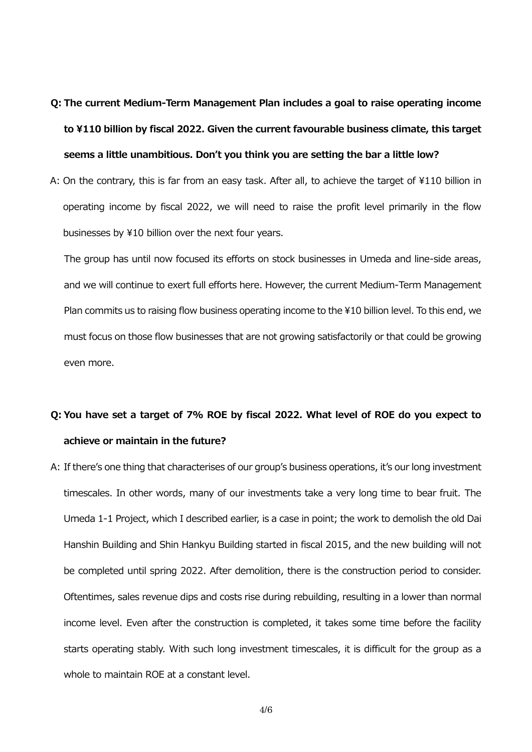# **Q: The current Medium-Term Management Plan includes a goal to raise operating income to ¥110 billion by fiscal 2022. Given the current favourable business climate, this target seems a little unambitious. Don't you think you are setting the bar a little low?**

A: On the contrary, this is far from an easy task. After all, to achieve the target of ¥110 billion in operating income by fiscal 2022, we will need to raise the profit level primarily in the flow businesses by ¥10 billion over the next four years.

The group has until now focused its efforts on stock businesses in Umeda and line-side areas, and we will continue to exert full efforts here. However, the current Medium-Term Management Plan commits us to raising flow business operating income to the ¥10 billion level. To this end, we must focus on those flow businesses that are not growing satisfactorily or that could be growing even more.

### **Q: You have set a target of 7% ROE by fiscal 2022. What level of ROE do you expect to achieve or maintain in the future?**

A: If there's one thing that characterises of our group's business operations, it's our long investment timescales. In other words, many of our investments take a very long time to bear fruit. The Umeda 1-1 Project, which I described earlier, is a case in point; the work to demolish the old Dai Hanshin Building and Shin Hankyu Building started in fiscal 2015, and the new building will not be completed until spring 2022. After demolition, there is the construction period to consider. Oftentimes, sales revenue dips and costs rise during rebuilding, resulting in a lower than normal income level. Even after the construction is completed, it takes some time before the facility starts operating stably. With such long investment timescales, it is difficult for the group as a whole to maintain ROE at a constant level.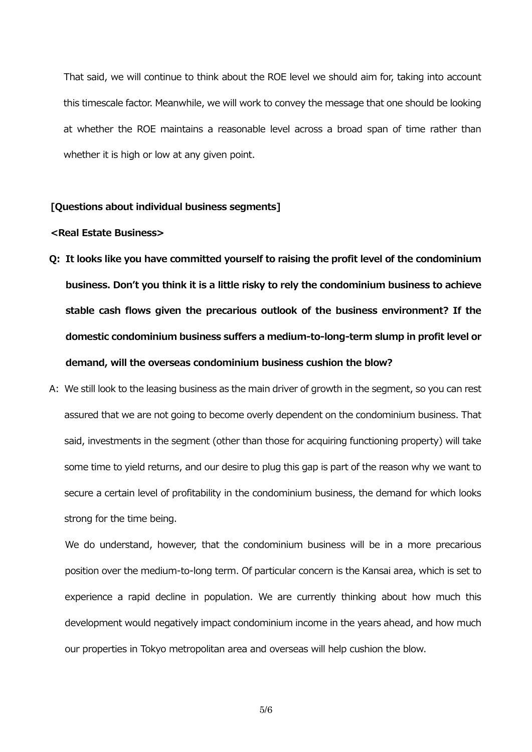That said, we will continue to think about the ROE level we should aim for, taking into account this timescale factor. Meanwhile, we will work to convey the message that one should be looking at whether the ROE maintains a reasonable level across a broad span of time rather than whether it is high or low at any given point.

### **[Questions about individual business segments]**

### **<Real Estate Business>**

- **Q: It looks like you have committed yourself to raising the profit level of the condominium business. Don't you think it is a little risky to rely the condominium business to achieve stable cash flows given the precarious outlook of the business environment? If the domestic condominium business suffers a medium-to-long-term slump in profit level or demand, will the overseas condominium business cushion the blow?**
- A: We still look to the leasing business as the main driver of growth in the segment, so you can rest assured that we are not going to become overly dependent on the condominium business. That said, investments in the segment (other than those for acquiring functioning property) will take some time to yield returns, and our desire to plug this gap is part of the reason why we want to secure a certain level of profitability in the condominium business, the demand for which looks strong for the time being.

We do understand, however, that the condominium business will be in a more precarious position over the medium-to-long term. Of particular concern is the Kansai area, which is set to experience a rapid decline in population. We are currently thinking about how much this development would negatively impact condominium income in the years ahead, and how much our properties in Tokyo metropolitan area and overseas will help cushion the blow.

5/6